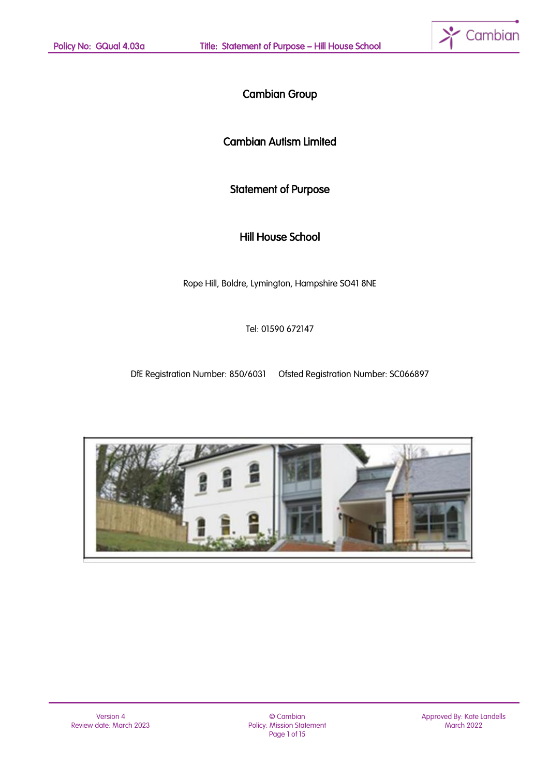

# Cambian Group

# Cambian Autism Limited

# Statement of Purpose

# Hill House School

Rope Hill, Boldre, Lymington, Hampshire SO41 8NE

Tel: 01590 672147

DfE Registration Number: 850/6031 Ofsted Registration Number: SC066897



© Cambian Policy: Mission Statement Page 1 of 15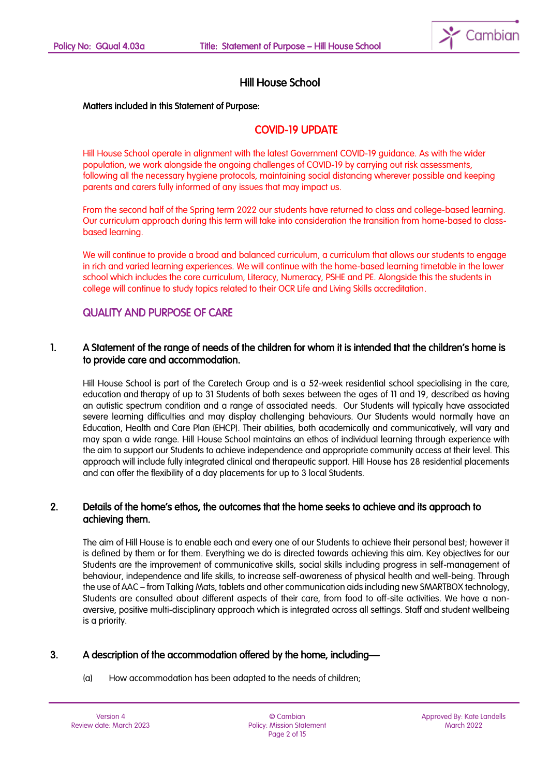

# Hill House School

#### Matters included in this Statement of Purpose:

# COVID-19 UPDATE

Hill House School operate in alignment with the latest Government COVID-19 guidance. As with the wider population, we work alongside the ongoing challenges of COVID-19 by carrying out risk assessments, following all the necessary hygiene protocols, maintaining social distancing wherever possible and keeping parents and carers fully informed of any issues that may impact us.

From the second half of the Spring term 2022 our students have returned to class and college-based learning. Our curriculum approach during this term will take into consideration the transition from home-based to classbased learning.

We will continue to provide a broad and balanced curriculum, a curriculum that allows our students to engage in rich and varied learning experiences. We will continue with the home-based learning timetable in the lower school which includes the core curriculum, Literacy, Numeracy, PSHE and PE. Alongside this the students in college will continue to study topics related to their OCR Life and Living Skills accreditation.

### QUALITY AND PURPOSE OF CARE

### 1. A Statement of the range of needs of the children for whom it is intended that the children's home is to provide care and accommodation.

Hill House School is part of the Caretech Group and is a 52-week residential school specialising in the care, education and therapy of up to 31 Students of both sexes between the ages of 11 and 19, described as having an autistic spectrum condition and a range of associated needs. Our Students will typically have associated severe learning difficulties and may display challenging behaviours. Our Students would normally have an Education, Health and Care Plan (EHCP). Their abilities, both academically and communicatively, will vary and may span a wide range. Hill House School maintains an ethos of individual learning through experience with the aim to support our Students to achieve independence and appropriate community access at their level. This approach will include fully integrated clinical and therapeutic support. Hill House has 28 residential placements and can offer the flexibility of a day placements for up to 3 local Students.

### 2. Details of the home's ethos, the outcomes that the home seeks to achieve and its approach to achieving them.

The aim of Hill House is to enable each and every one of our Students to achieve their personal best; however it is defined by them or for them. Everything we do is directed towards achieving this aim. Key objectives for our Students are the improvement of communicative skills, social skills including progress in self-management of behaviour, independence and life skills, to increase self-awareness of physical health and well-being. Through the use of AAC – from Talking Mats, tablets and other communication aids including new SMARTBOX technology, Students are consulted about different aspects of their care, from food to off-site activities. We have a nonaversive, positive multi-disciplinary approach which is integrated across all settings. Staff and student wellbeing is a priority.

### 3. A description of the accommodation offered by the home, including—

(a) How accommodation has been adapted to the needs of children;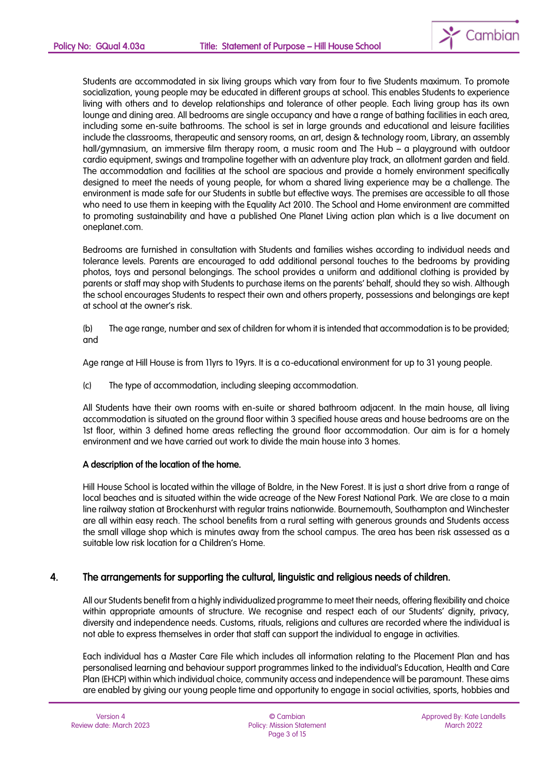

Students are accommodated in six living groups which vary from four to five Students maximum. To promote socialization, young people may be educated in different groups at school. This enables Students to experience living with others and to develop relationships and tolerance of other people. Each living group has its own lounge and dining area. All bedrooms are single occupancy and have a range of bathing facilities in each area, including some en-suite bathrooms. The school is set in large grounds and educational and leisure facilities include the classrooms, therapeutic and sensory rooms, an art, design & technology room, Library, an assembly hall/gymnasium, an immersive film therapy room, a music room and The Hub – a playground with outdoor cardio equipment, swings and trampoline together with an adventure play track, an allotment garden and field. The accommodation and facilities at the school are spacious and provide a homely environment specifically designed to meet the needs of young people, for whom a shared living experience may be a challenge. The environment is made safe for our Students in subtle but effective ways. The premises are accessible to all those who need to use them in keeping with the Equality Act 2010. The School and Home environment are committed to promoting sustainability and have a published One Planet Living action plan which is a live document on oneplanet.com.

Bedrooms are furnished in consultation with Students and families wishes according to individual needs and tolerance levels. Parents are encouraged to add additional personal touches to the bedrooms by providing photos, toys and personal belongings. The school provides a uniform and additional clothing is provided by parents or staff may shop with Students to purchase items on the parents' behalf, should they so wish. Although the school encourages Students to respect their own and others property, possessions and belongings are kept at school at the owner's risk.

(b) The age range, number and sex of children for whom it is intended that accommodation is to be provided; and

Age range at Hill House is from 11yrs to 19yrs. It is a co-educational environment for up to 31 young people.

(c) The type of accommodation, including sleeping accommodation.

All Students have their own rooms with en-suite or shared bathroom adjacent. In the main house, all living accommodation is situated on the ground floor within 3 specified house areas and house bedrooms are on the 1st floor, within 3 defined home areas reflecting the ground floor accommodation. Our aim is for a homely environment and we have carried out work to divide the main house into 3 homes.

#### A description of the location of the home.

Hill House School is located within the village of Boldre, in the New Forest. It is just a short drive from a range of local beaches and is situated within the wide acreage of the New Forest National Park. We are close to a main line railway station at Brockenhurst with regular trains nationwide. Bournemouth, Southampton and Winchester are all within easy reach. The school benefits from a rural setting with generous grounds and Students access the small village shop which is minutes away from the school campus. The area has been risk assessed as a suitable low risk location for a Children's Home.

#### 4. The arrangements for supporting the cultural, linguistic and religious needs of children.

All our Students benefit from a highly individualized programme to meet their needs, offering flexibility and choice within appropriate amounts of structure. We recognise and respect each of our Students' dianity, privacy, diversity and independence needs. Customs, rituals, religions and cultures are recorded where the individual is not able to express themselves in order that staff can support the individual to engage in activities.

Each individual has a Master Care File which includes all information relating to the Placement Plan and has personalised learning and behaviour support programmes linked to the individual's Education, Health and Care Plan (EHCP) within which individual choice, community access and independence will be paramount. These aims are enabled by giving our young people time and opportunity to engage in social activities, sports, hobbies and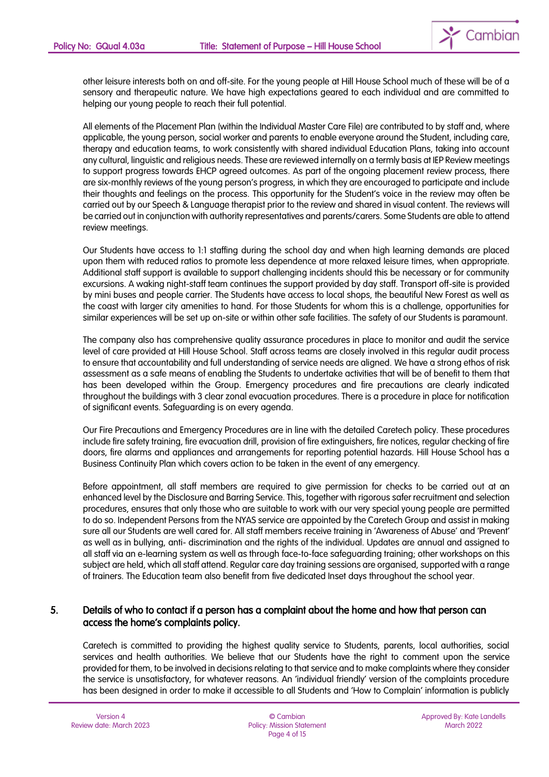

other leisure interests both on and off-site. For the young people at Hill House School much of these will be of a sensory and therapeutic nature. We have high expectations geared to each individual and are committed to helping our young people to reach their full potential.

All elements of the Placement Plan (within the Individual Master Care File) are contributed to by staff and, where applicable, the young person, social worker and parents to enable everyone around the Student, including care, therapy and education teams, to work consistently with shared individual Education Plans, taking into account any cultural, linguistic and religious needs. These are reviewed internally on a termly basis at IEP Review meetings to support progress towards EHCP agreed outcomes. As part of the ongoing placement review process, there are six-monthly reviews of the young person's progress, in which they are encouraged to participate and include their thoughts and feelings on the process. This opportunity for the Student's voice in the review may often be carried out by our Speech & Language therapist prior to the review and shared in visual content. The reviews will be carried out in conjunction with authority representatives and parents/carers. Some Students are able to attend review meetings.

Our Students have access to 1:1 staffing during the school day and when high learning demands are placed upon them with reduced ratios to promote less dependence at more relaxed leisure times, when appropriate. Additional staff support is available to support challenging incidents should this be necessary or for community excursions. A waking night-staff team continues the support provided by day staff. Transport off-site is provided by mini buses and people carrier. The Students have access to local shops, the beautiful New Forest as well as the coast with larger city amenities to hand. For those Students for whom this is a challenge, opportunities for similar experiences will be set up on-site or within other safe facilities. The safety of our Students is paramount.

The company also has comprehensive quality assurance procedures in place to monitor and audit the service level of care provided at Hill House School. Staff across teams are closely involved in this regular audit process to ensure that accountability and full understanding of service needs are aligned. We have a strong ethos of risk assessment as a safe means of enabling the Students to undertake activities that will be of benefit to them that has been developed within the Group. Emergency procedures and fire precautions are clearly indicated throughout the buildings with 3 clear zonal evacuation procedures. There is a procedure in place for notification of significant events. Safeguarding is on every agenda.

Our Fire Precautions and Emergency Procedures are in line with the detailed Caretech policy. These procedures include fire safety training, fire evacuation drill, provision of fire extinguishers, fire notices, regular checking of fire doors, fire alarms and appliances and arrangements for reporting potential hazards. Hill House School has a Business Continuity Plan which covers action to be taken in the event of any emergency.

Before appointment, all staff members are required to give permission for checks to be carried out at an enhanced level by the Disclosure and Barring Service. This, together with rigorous safer recruitment and selection procedures, ensures that only those who are suitable to work with our very special young people are permitted to do so. Independent Persons from the NYAS service are appointed by the Caretech Group and assist in making sure all our Students are well cared for. All staff members receive training in 'Awareness of Abuse' and 'Prevent' as well as in bullying, anti- discrimination and the rights of the individual. Updates are annual and assigned to all staff via an e-learning system as well as through face-to-face safeguarding training; other workshops on this subject are held, which all staff attend. Regular care day training sessions are organised, supported with a range of trainers. The Education team also benefit from five dedicated Inset days throughout the school year.

### 5. Details of who to contact if a person has a complaint about the home and how that person can access the home's complaints policy.

Caretech is committed to providing the highest quality service to Students, parents, local authorities, social services and health authorities. We believe that our Students have the right to comment upon the service provided for them, to be involved in decisions relating to that service and to make complaints where they consider the service is unsatisfactory, for whatever reasons. An 'individual friendly' version of the complaints procedure has been designed in order to make it accessible to all Students and 'How to Complain' information is publicly

© Cambian Policy: Mission Statement Page 4 of 15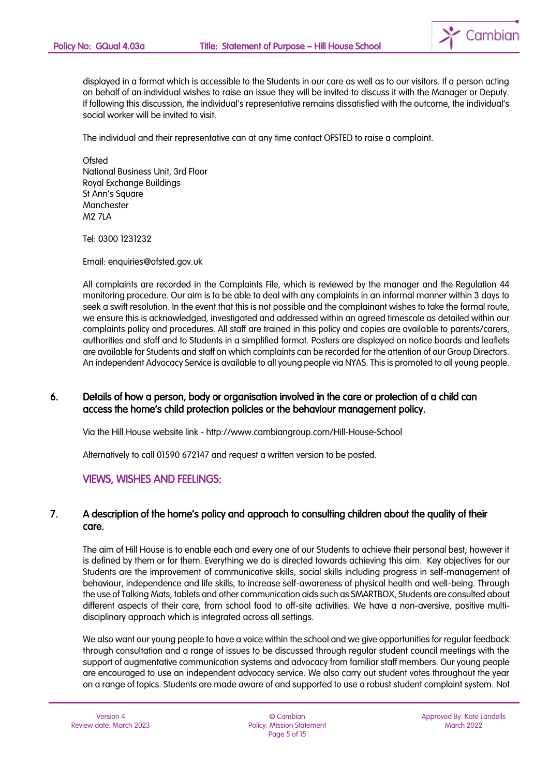

displayed in a format which is accessible to the Students in our care as well as to our visitors. If a person acting on behalf of an individual wishes to raise an issue they will be invited to discuss it with the Manager or Deputy. If following this discussion, the individual's representative remains dissatisfied with the outcome, the individual's social worker will be invited to visit.

The individual and their representative can at any time contact OFSTED to raise a complaint.

**Ofsted** National Business Unit, 3rd Floor Royal Exchange Buildings St Ann's Square Manchester M2 7LA

Tel: 0300 1231232

Email: enquiries@ofsted.gov.uk

All complaints are recorded in the Complaints File, which is reviewed by the manager and the Regulation 44 monitoring procedure. Our aim is to be able to deal with any complaints in an informal manner within 3 days to seek a swift resolution. In the event that this is not possible and the complainant wishes to take the formal route, we ensure this is acknowledged, investigated and addressed within an agreed timescale as detailed within our complaints policy and procedures. All staff are trained in this policy and copies are available to parents/carers, authorities and staff and to Students in a simplified format. Posters are displayed on notice boards and leaflets are available for Students and staff on which complaints can be recorded for the attention of our Group Directors. An independent Advocacy Service is available to all young people via NYAS. This is promoted to all young people.

### 6. Details of how a person, body or organisation involved in the care or protection of a child can access the home's child protection policies or the behaviour management policy.

Via the Hill House website link - http://www.cambiangroup.com/Hill-House-School

Alternatively to call 01590 672147 and request a written version to be posted.

### VIEWS, WISHES AND FEELINGS:

### 7. A description of the home's policy and approach to consulting children about the quality of their care.

The aim of Hill House is to enable each and every one of our Students to achieve their personal best; however it is defined by them or for them. Everything we do is directed towards achieving this aim. Key objectives for our Students are the improvement of communicative skills, social skills including progress in self-management of behaviour, independence and life skills, to increase self-awareness of physical health and well-being. Through the use of Talking Mats, tablets and other communication aids such as SMARTBOX, Students are consulted about different aspects of their care, from school food to off-site activities. We have a non-aversive, positive multidisciplinary approach which is integrated across all settings.

We also want our young people to have a voice within the school and we give opportunities for regular feedback through consultation and a range of issues to be discussed through regular student council meetings with the support of augmentative communication systems and advocacy from familiar staff members. Our young people are encouraged to use an independent advocacy service. We also carry out student votes throughout the year on a range of topics. Students are made aware of and supported to use a robust student complaint system. Not

© Cambian Policy: Mission Statement Page 5 of 15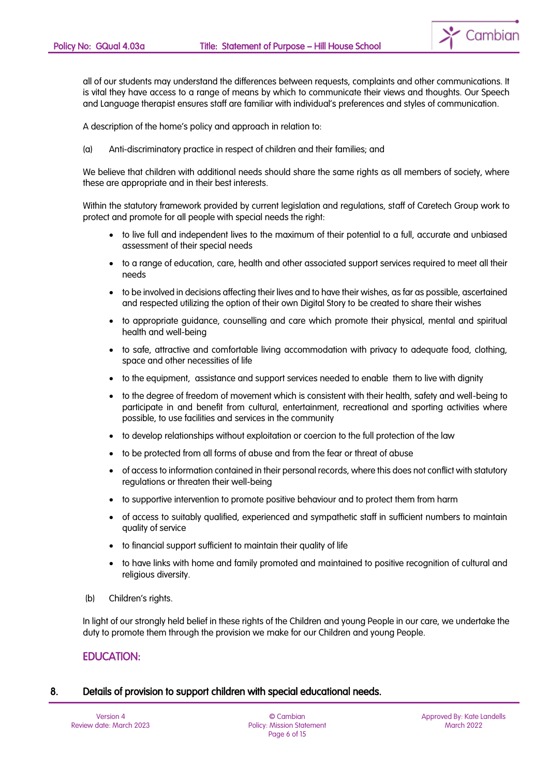Cambian

all of our students may understand the differences between requests, complaints and other communications. It is vital they have access to a range of means by which to communicate their views and thoughts. Our Speech and Language therapist ensures staff are familiar with individual's preferences and styles of communication.

A description of the home's policy and approach in relation to:

(a) Anti-discriminatory practice in respect of children and their families; and

We believe that children with additional needs should share the same rights as all members of society, where these are appropriate and in their best interests.

Within the statutory framework provided by current legislation and regulations, staff of Caretech Group work to protect and promote for all people with special needs the right:

- to live full and independent lives to the maximum of their potential to a full, accurate and unbiased assessment of their special needs
- to a range of education, care, health and other associated support services required to meet all their needs
- to be involved in decisions affecting their lives and to have their wishes, as far as possible, ascertained and respected utilizing the option of their own Digital Story to be created to share their wishes
- to appropriate guidance, counselling and care which promote their physical, mental and spiritual health and well-being
- to safe, attractive and comfortable living accommodation with privacy to adequate food, clothing, space and other necessities of life
- to the equipment, assistance and support services needed to enable them to live with dianity
- to the degree of freedom of movement which is consistent with their health, safety and well-being to participate in and benefit from cultural, entertainment, recreational and sporting activities where possible, to use facilities and services in the community
- to develop relationships without exploitation or coercion to the full protection of the law
- to be protected from all forms of abuse and from the fear or threat of abuse
- of access to information contained in their personal records, where this does not conflict with statutory regulations or threaten their well-being
- to supportive intervention to promote positive behaviour and to protect them from harm
- of access to suitably qualified, experienced and sympathetic staff in sufficient numbers to maintain quality of service
- to financial support sufficient to maintain their quality of life
- to have links with home and family promoted and maintained to positive recognition of cultural and religious diversity.
- (b) Children's rights.

In light of our strongly held belief in these rights of the Children and young People in our care, we undertake the duty to promote them through the provision we make for our Children and young People.

### EDUCATION:

### 8. Details of provision to support children with special educational needs.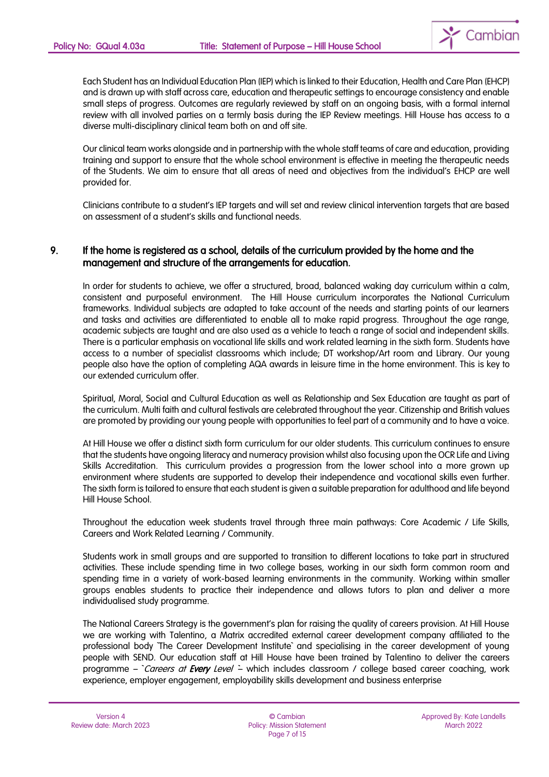

Each Student has an Individual Education Plan (IEP) which is linked to their Education, Health and Care Plan (EHCP) and is drawn up with staff across care, education and therapeutic settings to encourage consistency and enable small steps of progress. Outcomes are regularly reviewed by staff on an ongoing basis, with a formal internal review with all involved parties on a termly basis during the IEP Review meetings. Hill House has access to a diverse multi-disciplinary clinical team both on and off site.

Our clinical team works alongside and in partnership with the whole staff teams of care and education, providing training and support to ensure that the whole school environment is effective in meeting the therapeutic needs of the Students. We aim to ensure that all areas of need and objectives from the individual's EHCP are well provided for.

Clinicians contribute to a student's IEP targets and will set and review clinical intervention targets that are based on assessment of a student's skills and functional needs.

### 9. If the home is registered as a school, details of the curriculum provided by the home and the management and structure of the arrangements for education.

In order for students to achieve, we offer a structured, broad, balanced waking day curriculum within a calm, consistent and purposeful environment. The Hill House curriculum incorporates the National Curriculum frameworks. Individual subjects are adapted to take account of the needs and starting points of our learners and tasks and activities are differentiated to enable all to make rapid progress. Throughout the age range, academic subjects are taught and are also used as a vehicle to teach a range of social and independent skills. There is a particular emphasis on vocational life skills and work related learning in the sixth form. Students have access to a number of specialist classrooms which include; DT workshop/Art room and Library. Our young people also have the option of completing AQA awards in leisure time in the home environment. This is key to our extended curriculum offer.

Spiritual, Moral, Social and Cultural Education as well as Relationship and Sex Education are taught as part of the curriculum. Multi faith and cultural festivals are celebrated throughout the year. Citizenship and British values are promoted by providing our young people with opportunities to feel part of a community and to have a voice.

At Hill House we offer a distinct sixth form curriculum for our older students. This curriculum continues to ensure that the students have ongoing literacy and numeracy provision whilst also focusing upon the OCR Life and Living Skills Accreditation. This curriculum provides a progression from the lower school into a more grown up environment where students are supported to develop their independence and vocational skills even further. The sixth form is tailored to ensure that each student is given a suitable preparation for adulthood and life beyond Hill House School.

Throughout the education week students travel through three main pathways: Core Academic / Life Skills, Careers and Work Related Learning / Community.

Students work in small groups and are supported to transition to different locations to take part in structured activities. These include spending time in two college bases, working in our sixth form common room and spending time in a variety of work-based learning environments in the community. Working within smaller groups enables students to practice their independence and allows tutors to plan and deliver a more individualised study programme.

The National Careers Strategy is the government's plan for raising the quality of careers provision. At Hill House we are working with Talentino, a Matrix accredited external career development company affiliated to the professional body The Career Development Institute` and specialising in the career development of young people with SEND. Our education staff at Hill House have been trained by Talentino to deliver the careers programme – `Careers at Every Level – which includes classroom / college based career coaching, work experience, employer engagement, employability skills development and business enterprise

© Cambian Policy: Mission Statement Page 7 of 15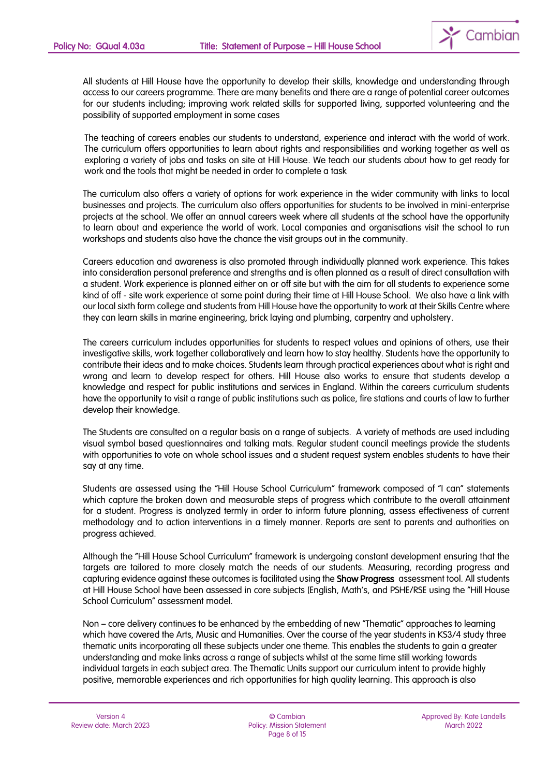

All students at Hill House have the opportunity to develop their skills, knowledge and understanding through access to our careers programme. There are many benefits and there are a range of potential career outcomes for our students including; improving work related skills for supported living, supported volunteering and the possibility of supported employment in some cases

The teaching of careers enables our students to understand, experience and interact with the world of work. The curriculum offers opportunities to learn about rights and responsibilities and working together as well as exploring a variety of jobs and tasks on site at Hill House. We teach our students about how to get ready for work and the tools that might be needed in order to complete a task

The curriculum also offers a variety of options for work experience in the wider community with links to local businesses and projects. The curriculum also offers opportunities for students to be involved in mini-enterprise projects at the school. We offer an annual careers week where all students at the school have the opportunity to learn about and experience the world of work. Local companies and organisations visit the school to run workshops and students also have the chance the visit groups out in the community.

Careers education and awareness is also promoted through individually planned work experience. This takes into consideration personal preference and strengths and is often planned as a result of direct consultation with a student. Work experience is planned either on or off site but with the aim for all students to experience some kind of off - site work experience at some point during their time at Hill House School. We also have a link with our local sixth form college and students from Hill House have the opportunity to work at their Skills Centre where they can learn skills in marine engineering, brick laying and plumbing, carpentry and upholstery.

The careers curriculum includes opportunities for students to respect values and opinions of others, use their investigative skills, work together collaboratively and learn how to stay healthy. Students have the opportunity to contribute their ideas and to make choices. Students learn through practical experiences about what is right and wrong and learn to develop respect for others. Hill House also works to ensure that students develop a knowledge and respect for public institutions and services in England. Within the careers curriculum students have the opportunity to visit a range of public institutions such as police, fire stations and courts of law to further develop their knowledge.

The Students are consulted on a regular basis on a range of subjects. A variety of methods are used including visual symbol based questionnaires and talking mats. Regular student council meetings provide the students with opportunities to vote on whole school issues and a student request system enables students to have their say at any time.

Students are assessed using the "Hill House School Curriculum" framework composed of "I can" statements which capture the broken down and measurable steps of progress which contribute to the overall attainment for a student. Progress is analyzed termly in order to inform future planning, assess effectiveness of current methodology and to action interventions in a timely manner. Reports are sent to parents and authorities on progress achieved.

Although the "Hill House School Curriculum" framework is undergoing constant development ensuring that the targets are tailored to more closely match the needs of our students. Measuring, recording progress and capturing evidence against these outcomes is facilitated using the **Show Progress** assessment tool. All students at Hill House School have been assessed in core subjects (English, Math's, and PSHE/RSE using the "Hill House School Curriculum" assessment model.

Non – core delivery continues to be enhanced by the embedding of new "Thematic" approaches to learning which have covered the Arts, Music and Humanities. Over the course of the year students in KS3/4 study three thematic units incorporating all these subjects under one theme. This enables the students to gain a greater understanding and make links across a range of subjects whilst at the same time still working towards individual targets in each subject area. The Thematic Units support our curriculum intent to provide highly positive, memorable experiences and rich opportunities for high quality learning. This approach is also

© Cambian Policy: Mission Statement Page 8 of 15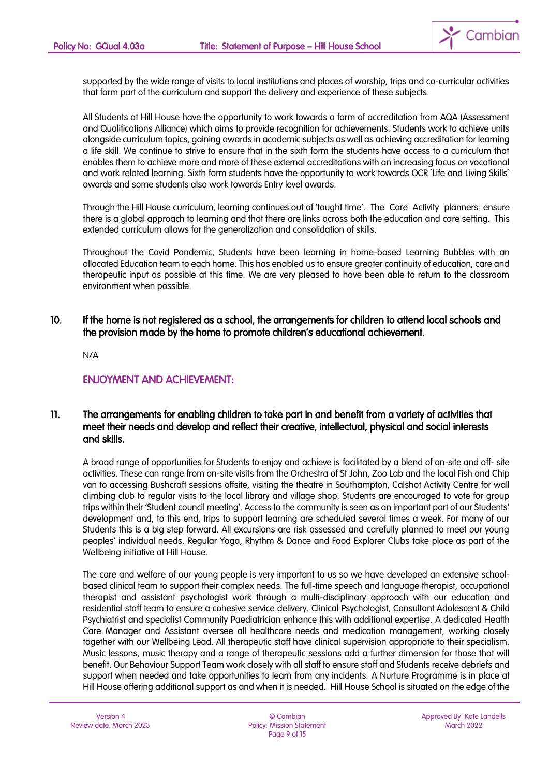

supported by the wide range of visits to local institutions and places of worship, trips and co-curricular activities that form part of the curriculum and support the delivery and experience of these subjects.

All Students at Hill House have the opportunity to work towards a form of accreditation from AQA (Assessment and Qualifications Alliance) which aims to provide recognition for achievements. Students work to achieve units alongside curriculum topics, gaining awards in academic subjects as well as achieving accreditation for learning a life skill. We continue to strive to ensure that in the sixth form the students have access to a curriculum that enables them to achieve more and more of these external accreditations with an increasing focus on vocational and work related learning. Sixth form students have the opportunity to work towards OCR `Life and Living Skills` awards and some students also work towards Entry level awards.

Through the Hill House curriculum, learning continues out of 'taught time'. The Care Activity planners ensure there is a global approach to learning and that there are links across both the education and care setting. This extended curriculum allows for the generalization and consolidation of skills.

Throughout the Covid Pandemic, Students have been learning in home-based Learning Bubbles with an allocated Education team to each home. This has enabled us to ensure greater continuity of education, care and therapeutic input as possible at this time. We are very pleased to have been able to return to the classroom environment when possible.

## 10. If the home is not registered as a school, the arrangements for children to attend local schools and the provision made by the home to promote children's educational achievement.

N/A

## ENJOYMENT AND ACHIEVEMENT:

### 11. The arrangements for enabling children to take part in and benefit from a variety of activities that meet their needs and develop and reflect their creative, intellectual, physical and social interests and skills.

A broad range of opportunities for Students to enjoy and achieve is facilitated by a blend of on-site and off- site activities. These can range from on-site visits from the Orchestra of St John, Zoo Lab and the local Fish and Chip van to accessing Bushcraft sessions offsite, visiting the theatre in Southampton, Calshot Activity Centre for wall climbing club to regular visits to the local library and village shop. Students are encouraged to vote for group trips within their 'Student council meeting'. Access to the community is seen as an important part of our Students' development and, to this end, trips to support learning are scheduled several times a week. For many of our Students this is a big step forward. All excursions are risk assessed and carefully planned to meet our young peoples' individual needs. Regular Yoga, Rhythm & Dance and Food Explorer Clubs take place as part of the Wellbeing initiative at Hill House.

The care and welfare of our young people is very important to us so we have developed an extensive schoolbased clinical team to support their complex needs. The full-time speech and language therapist, occupational therapist and assistant psychologist work through a multi-disciplinary approach with our education and residential staff team to ensure a cohesive service delivery. Clinical Psychologist, Consultant Adolescent & Child Psychiatrist and specialist Community Paediatrician enhance this with additional expertise. A dedicated Health Care Manager and Assistant oversee all healthcare needs and medication management, working closely together with our Wellbeing Lead. All therapeutic staff have clinical supervision appropriate to their specialism. Music lessons, music therapy and a range of therapeutic sessions add a further dimension for those that will benefit. Our Behaviour Support Team work closely with all staff to ensure staff and Students receive debriefs and support when needed and take opportunities to learn from any incidents. A Nurture Programme is in place at Hill House offering additional support as and when it is needed. Hill House School is situated on the edge of the

© Cambian Policy: Mission Statement Page 9 of 15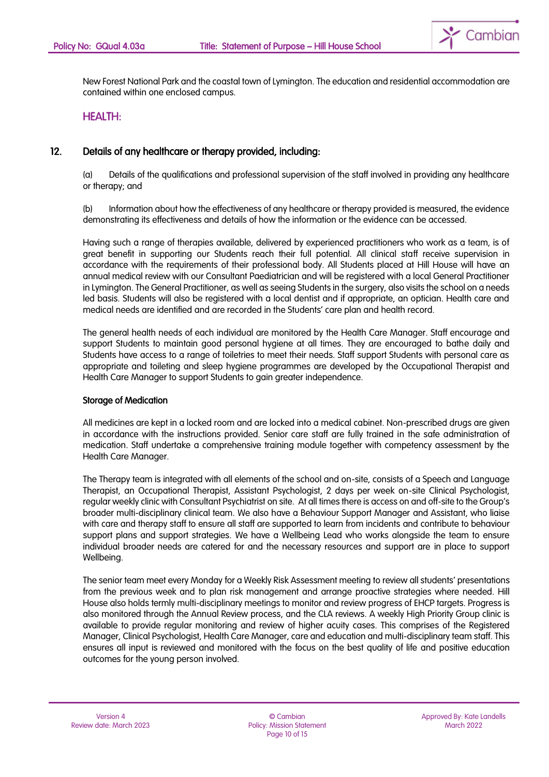

New Forest National Park and the coastal town of Lymington. The education and residential accommodation are contained within one enclosed campus.

#### HEALTH:

#### 12. Details of any healthcare or therapy provided, including:

(a) Details of the qualifications and professional supervision of the staff involved in providing any healthcare or therapy; and

(b) Information about how the effectiveness of any healthcare or therapy provided is measured, the evidence demonstrating its effectiveness and details of how the information or the evidence can be accessed.

Having such a range of therapies available, delivered by experienced practitioners who work as a team, is of great benefit in supporting our Students reach their full potential. All clinical staff receive supervision in accordance with the requirements of their professional body. All Students placed at Hill House will have an annual medical review with our Consultant Paediatrician and will be registered with a local General Practitioner in Lymington. The General Practitioner, as well as seeing Students in the surgery, also visits the school on a needs led basis. Students will also be registered with a local dentist and if appropriate, an optician. Health care and medical needs are identified and are recorded in the Students' care plan and health record.

The general health needs of each individual are monitored by the Health Care Manager. Staff encourage and support Students to maintain good personal hygiene at all times. They are encouraged to bathe daily and Students have access to a range of toiletries to meet their needs. Staff support Students with personal care as appropriate and toileting and sleep hygiene programmes are developed by the Occupational Therapist and Health Care Manager to support Students to gain greater independence.

#### Storage of Medication

All medicines are kept in a locked room and are locked into a medical cabinet. Non-prescribed drugs are given in accordance with the instructions provided. Senior care staff are fully trained in the safe administration of medication. Staff undertake a comprehensive training module together with competency assessment by the Health Care Manager.

The Therapy team is integrated with all elements of the school and on-site, consists of a Speech and Language Therapist, an Occupational Therapist, Assistant Psychologist, 2 days per week on-site Clinical Psychologist, regular weekly clinic with Consultant Psychiatrist on site. At all times there is access on and off-site to the Group's broader multi-disciplinary clinical team. We also have a Behaviour Support Manager and Assistant, who liaise with care and therapy staff to ensure all staff are supported to learn from incidents and contribute to behaviour support plans and support strategies. We have a Wellbeing Lead who works alongside the team to ensure individual broader needs are catered for and the necessary resources and support are in place to support Wellbeing.

The senior team meet every Monday for a Weekly Risk Assessment meeting to review all students' presentations from the previous week and to plan risk management and arrange proactive strategies where needed. Hill House also holds termly multi-disciplinary meetings to monitor and review progress of EHCP targets. Progress is also monitored through the Annual Review process, and the CLA reviews. A weekly High Priority Group clinic is available to provide regular monitoring and review of higher acuity cases. This comprises of the Registered Manager, Clinical Psychologist, Health Care Manager, care and education and multi-disciplinary team staff. This ensures all input is reviewed and monitored with the focus on the best quality of life and positive education outcomes for the young person involved.

© Cambian Policy: Mission Statement Page 10 of 15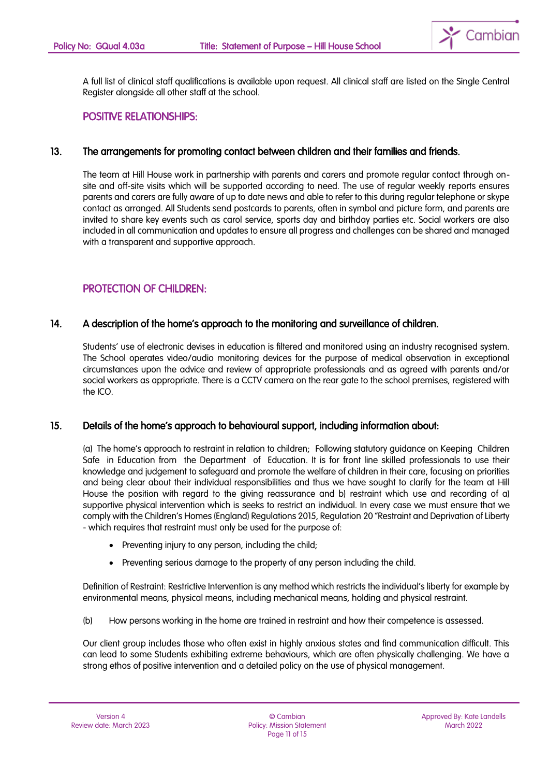

A full list of clinical staff qualifications is available upon request. All clinical staff are listed on the Single Central Register alongside all other staff at the school.

#### POSITIVE RELATIONSHIPS:

#### 13. The arrangements for promoting contact between children and their families and friends.

The team at Hill House work in partnership with parents and carers and promote regular contact through onsite and off-site visits which will be supported according to need. The use of regular weekly reports ensures parents and carers are fully aware of up to date news and able to refer to this during regular telephone or skype contact as arranged. All Students send postcards to parents, often in symbol and picture form, and parents are invited to share key events such as carol service, sports day and birthday parties etc. Social workers are also included in all communication and updates to ensure all progress and challenges can be shared and managed with a transparent and supportive approach.

## PROTECTION OF CHILDREN:

#### 14. A description of the home's approach to the monitoring and surveillance of children.

Students' use of electronic devises in education is filtered and monitored using an industry recognised system. The School operates video/audio monitoring devices for the purpose of medical observation in exceptional circumstances upon the advice and review of appropriate professionals and as agreed with parents and/or social workers as appropriate. There is a CCTV camera on the rear gate to the school premises, registered with the ICO.

#### 15. Details of the home's approach to behavioural support, including information about:

(a) The home's approach to restraint in relation to children; Following statutory guidance on Keeping Children Safe in Education from the Department of Education. It is for front line skilled professionals to use their knowledge and judgement to safeguard and promote the welfare of children in their care, focusing on priorities and being clear about their individual responsibilities and thus we have sought to clarify for the team at Hill House the position with regard to the giving reassurance and b) restraint which use and recording of a) supportive physical intervention which is seeks to restrict an individual. In every case we must ensure that we comply with the Children's Homes (England) Regulations 2015, Regulation 20 "Restraint and Deprivation of Liberty - which requires that restraint must only be used for the purpose of:

- Preventing injury to any person, including the child;
- Preventing serious damage to the property of any person including the child.

Definition of Restraint: Restrictive Intervention is any method which restricts the individual's liberty for example by environmental means, physical means, including mechanical means, holding and physical restraint.

(b) How persons working in the home are trained in restraint and how their competence is assessed.

Our client group includes those who often exist in highly anxious states and find communication difficult. This can lead to some Students exhibiting extreme behaviours, which are often physically challenging. We have a strong ethos of positive intervention and a detailed policy on the use of physical management.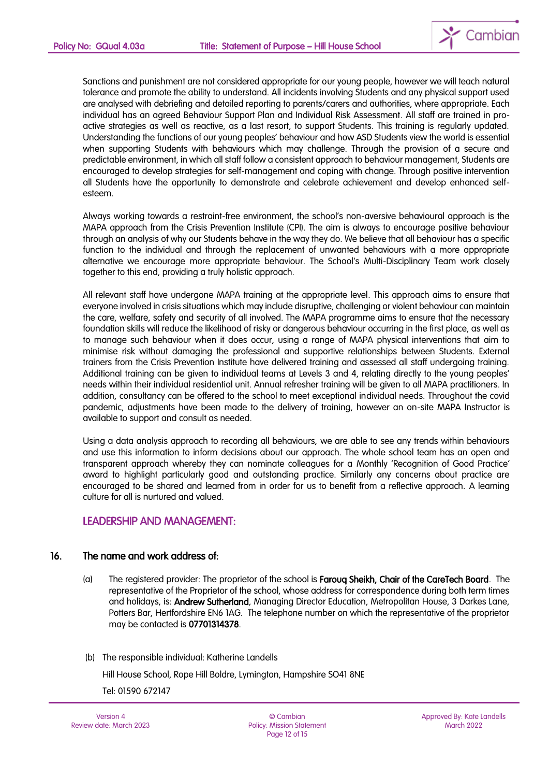

Sanctions and punishment are not considered appropriate for our young people, however we will teach natural tolerance and promote the ability to understand. All incidents involving Students and any physical support used are analysed with debriefing and detailed reporting to parents/carers and authorities, where appropriate. Each individual has an agreed Behaviour Support Plan and Individual Risk Assessment. All staff are trained in proactive strategies as well as reactive, as a last resort, to support Students. This training is regularly updated. Understanding the functions of our young peoples' behaviour and how ASD Students view the world is essential when supporting Students with behaviours which may challenge. Through the provision of a secure and predictable environment, in which all staff follow a consistent approach to behaviour management, Students are encouraged to develop strategies for self-management and coping with change. Through positive intervention all Students have the opportunity to demonstrate and celebrate achievement and develop enhanced selfesteem.

Always working towards a restraint-free environment, the school's non-aversive behavioural approach is the MAPA approach from the Crisis Prevention Institute (CPI). The aim is always to encourage positive behaviour through an analysis of why our Students behave in the way they do. We believe that all behaviour has a specific function to the individual and through the replacement of unwanted behaviours with a more appropriate alternative we encourage more appropriate behaviour. The School's Multi-Disciplinary Team work closely together to this end, providing a truly holistic approach.

All relevant staff have undergone MAPA training at the appropriate level. This approach aims to ensure that everyone involved in crisis situations which may include disruptive, challenging or violent behaviour can maintain the care, welfare, safety and security of all involved. The MAPA programme aims to ensure that the necessary foundation skills will reduce the likelihood of risky or dangerous behaviour occurring in the first place, as well as to manage such behaviour when it does occur, using a range of MAPA physical interventions that aim to minimise risk without damaging the professional and supportive relationships between Students. External trainers from the Crisis Prevention Institute have delivered training and assessed all staff undergoing training. Additional training can be given to individual teams at Levels 3 and 4, relating directly to the young peoples' needs within their individual residential unit. Annual refresher training will be given to all MAPA practitioners. In addition, consultancy can be offered to the school to meet exceptional individual needs. Throughout the covid pandemic, adjustments have been made to the delivery of training, however an on-site MAPA Instructor is available to support and consult as needed.

Using a data analysis approach to recording all behaviours, we are able to see any trends within behaviours and use this information to inform decisions about our approach. The whole school team has an open and transparent approach whereby they can nominate colleagues for a Monthly 'Recognition of Good Practice' award to highlight particularly good and outstanding practice. Similarly any concerns about practice are encouraged to be shared and learned from in order for us to benefit from a reflective approach. A learning culture for all is nurtured and valued.

#### LEADERSHIP AND MANAGEMENT:

#### 16. The name and work address of:

- (a) The registered provider: The proprietor of the school is Farouq Sheikh, Chair of the CareTech Board. The representative of the Proprietor of the school, whose address for correspondence during both term times and holidays, is: Andrew Sutherland, Managing Director Education, Metropolitan House, 3 Darkes Lane, Potters Bar, Hertfordshire EN6 1AG. The telephone number on which the representative of the proprietor may be contacted is 07701314378.
- (b) The responsible individual: Katherine Landells

Hill House School, Rope Hill Boldre, Lymington, Hampshire SO41 8NE

Tel: 01590 672147

Version 4 Review date: March 2023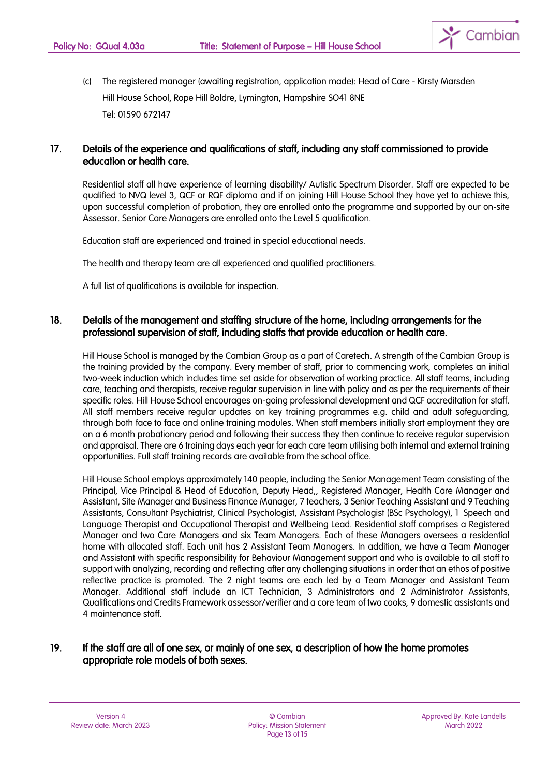

(c) The registered manager (awaiting registration, application made): Head of Care - Kirsty Marsden Hill House School, Rope Hill Boldre, Lymington, Hampshire SO41 8NE Tel: 01590 672147

### 17. Details of the experience and qualifications of staff, including any staff commissioned to provide education or health care.

Residential staff all have experience of learning disability/ Autistic Spectrum Disorder. Staff are expected to be qualified to NVQ level 3, QCF or RQF diploma and if on joining Hill House School they have yet to achieve this, upon successful completion of probation, they are enrolled onto the programme and supported by our on-site Assessor. Senior Care Managers are enrolled onto the Level 5 qualification.

Education staff are experienced and trained in special educational needs.

The health and therapy team are all experienced and qualified practitioners.

A full list of qualifications is available for inspection.

#### 18. Details of the management and staffing structure of the home, including arrangements for the professional supervision of staff, including staffs that provide education or health care.

Hill House School is managed by the Cambian Group as a part of Caretech. A strength of the Cambian Group is the training provided by the company. Every member of staff, prior to commencing work, completes an initial two-week induction which includes time set aside for observation of working practice. All staff teams, including care, teaching and therapists, receive regular supervision in line with policy and as per the requirements of their specific roles. Hill House School encourages on-going professional development and QCF accreditation for staff. All staff members receive regular updates on key training programmes e.g. child and adult safeguarding, through both face to face and online training modules. When staff members initially start employment they are on a 6 month probationary period and following their success they then continue to receive regular supervision and appraisal. There are 6 training days each year for each care team utilising both internal and external training opportunities. Full staff training records are available from the school office.

Hill House School employs approximately 140 people, including the Senior Management Team consisting of the Principal, Vice Principal & Head of Education, Deputy Head,, Registered Manager, Health Care Manager and Assistant, Site Manager and Business Finance Manager, 7 teachers, 3 Senior Teaching Assistant and 9 Teaching Assistants, Consultant Psychiatrist, Clinical Psychologist, Assistant Psychologist (BSc Psychology), 1 Speech and Language Therapist and Occupational Therapist and Wellbeing Lead. Residential staff comprises a Registered Manager and two Care Managers and six Team Managers. Each of these Managers oversees a residential home with allocated staff. Each unit has 2 Assistant Team Managers. In addition, we have a Team Manager and Assistant with specific responsibility for Behaviour Management support and who is available to all staff to support with analyzing, recording and reflecting after any challenging situations in order that an ethos of positive reflective practice is promoted. The 2 night teams are each led by a Team Manager and Assistant Team Manager. Additional staff include an ICT Technician, 3 Administrators and 2 Administrator Assistants, Qualifications and Credits Framework assessor/verifier and a core team of two cooks, 9 domestic assistants and 4 maintenance staff.

#### 19. If the staff are all of one sex, or mainly of one sex, a description of how the home promotes appropriate role models of both sexes.

© Cambian Policy: Mission Statement Page 13 of 15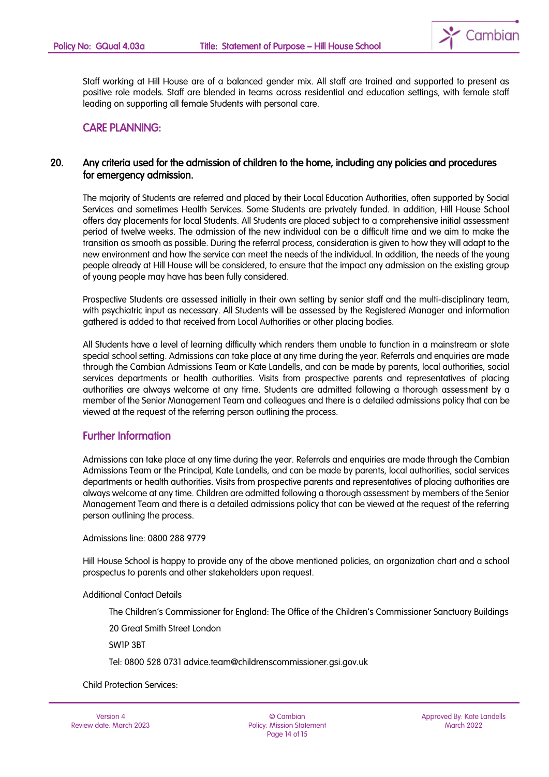

Staff working at Hill House are of a balanced gender mix. All staff are trained and supported to present as positive role models. Staff are blended in teams across residential and education settings, with female staff leading on supporting all female Students with personal care.

#### CARE PLANNING:

#### 20. Any criteria used for the admission of children to the home, including any policies and procedures for emergency admission.

The majority of Students are referred and placed by their Local Education Authorities, often supported by Social Services and sometimes Health Services. Some Students are privately funded. In addition, Hill House School offers day placements for local Students. All Students are placed subject to a comprehensive initial assessment period of twelve weeks. The admission of the new individual can be a difficult time and we aim to make the transition as smooth as possible. During the referral process, consideration is given to how they will adapt to the new environment and how the service can meet the needs of the individual. In addition, the needs of the young people already at Hill House will be considered, to ensure that the impact any admission on the existing group of young people may have has been fully considered.

Prospective Students are assessed initially in their own setting by senior staff and the multi-disciplinary team, with psychiatric input as necessary. All Students will be assessed by the Registered Manager and information gathered is added to that received from Local Authorities or other placing bodies.

All Students have a level of learning difficulty which renders them unable to function in a mainstream or state special school setting. Admissions can take place at any time during the year. Referrals and enquiries are made through the Cambian Admissions Team or Kate Landells, and can be made by parents, local authorities, social services departments or health authorities. Visits from prospective parents and representatives of placing authorities are always welcome at any time. Students are admitted following a thorough assessment by a member of the Senior Management Team and colleagues and there is a detailed admissions policy that can be viewed at the request of the referring person outlining the process.

### Further Information

Admissions can take place at any time during the year. Referrals and enquiries are made through the Cambian Admissions Team or the Principal, Kate Landells, and can be made by parents, local authorities, social services departments or health authorities. Visits from prospective parents and representatives of placing authorities are always welcome at any time. Children are admitted following a thorough assessment by members of the Senior Management Team and there is a detailed admissions policy that can be viewed at the request of the referring person outlining the process.

Admissions line: 0800 288 9779

Hill House School is happy to provide any of the above mentioned policies, an organization chart and a school prospectus to parents and other stakeholders upon request.

Additional Contact Details

The Children's Commissioner for England: The Office of the Children's Commissioner Sanctuary Buildings

20 Great Smith Street London

SW1P 3BT

Tel: 0800 528 0731 advice.team@childrenscommissioner.gsi.gov.uk

Child Protection Services:

Version 4 Review date: March 2023

© Cambian Policy: Mission Statement Page 14 of 15

Approved By: Kate Landells March 2022